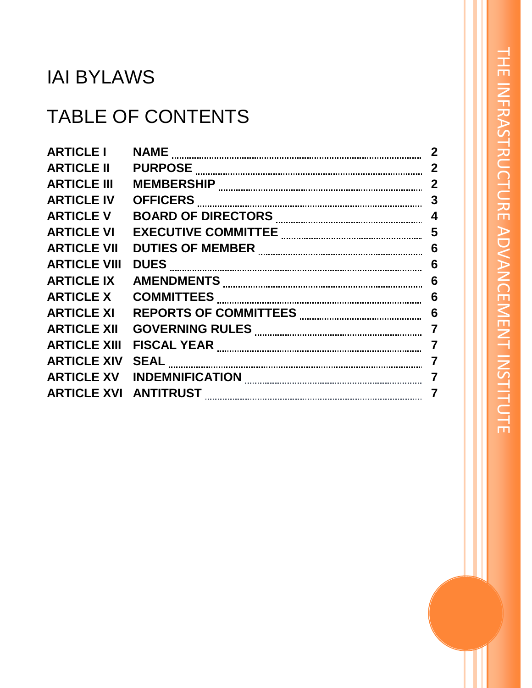# IAI BYLAWS

# TABLE OF CONTENTS

| <b>ARTICLE I</b>    | <b>NAME</b>                                                                                                                                                                                                                    | $\mathbf 2$             |
|---------------------|--------------------------------------------------------------------------------------------------------------------------------------------------------------------------------------------------------------------------------|-------------------------|
| <b>ARTICLE II</b>   |                                                                                                                                                                                                                                | $\mathbf{2}$            |
| <b>ARTICLE III</b>  | <b>MEMBERSHIP</b>                                                                                                                                                                                                              | $\mathbf{2}$            |
| <b>ARTICLE IV</b>   | <b>OFFICERS</b>                                                                                                                                                                                                                | 3                       |
| <b>ARTICLE V</b>    |                                                                                                                                                                                                                                | $\overline{\mathbf{4}}$ |
| <b>ARTICLE VI</b>   |                                                                                                                                                                                                                                |                         |
| <b>ARTICLE VII</b>  |                                                                                                                                                                                                                                | 6                       |
| <b>ARTICLE VIII</b> | DUES Expansional contract of the contract of the contract of the contract of the contract of the contract of the contract of the contract of the contract of the contract of the contract of the contract of the contract of t | $6\phantom{1}6$         |
| <b>ARTICLE IX</b>   |                                                                                                                                                                                                                                | 6                       |
| <b>ARTICLE X</b>    | <b>COMMITTEES</b>                                                                                                                                                                                                              | 6                       |
| <b>ARTICLE XI</b>   |                                                                                                                                                                                                                                | $6\phantom{1}6$         |
| <b>ARTICLE XII</b>  |                                                                                                                                                                                                                                | $\overline{7}$          |
| <b>ARTICLE XIII</b> | <b>FISCAL YEAR</b>                                                                                                                                                                                                             | $\overline{7}$          |
| <b>ARTICLE XIV</b>  |                                                                                                                                                                                                                                | $\overline{7}$          |
| <b>ARTICLE XV</b>   | INDEMNIFICATION <b>With the CONDUCT OF A SET OF A SET OF A SET OF A SET OF A SET OF A SET OF A SET OF A SET OF A S</b>                                                                                                         | $\overline{7}$          |
| <b>ARTICLE XVI</b>  | <b>ANTITRUST</b>                                                                                                                                                                                                               | 7                       |
|                     |                                                                                                                                                                                                                                |                         |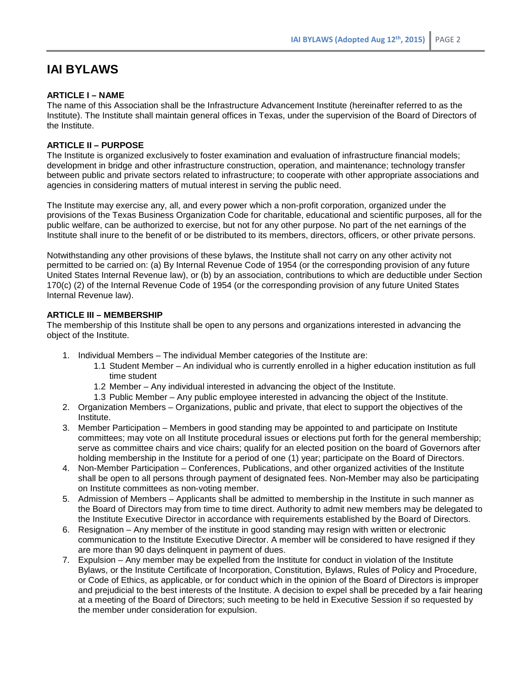# **IAI BYLAWS**

### **ARTICLE I – NAME**

The name of this Association shall be the Infrastructure Advancement Institute (hereinafter referred to as the Institute). The Institute shall maintain general offices in Texas, under the supervision of the Board of Directors of the Institute.

### **ARTICLE II – PURPOSE**

The Institute is organized exclusively to foster examination and evaluation of infrastructure financial models; development in bridge and other infrastructure construction, operation, and maintenance; technology transfer between public and private sectors related to infrastructure; to cooperate with other appropriate associations and agencies in considering matters of mutual interest in serving the public need.

The Institute may exercise any, all, and every power which a non-profit corporation, organized under the provisions of the Texas Business Organization Code for charitable, educational and scientific purposes, all for the public welfare, can be authorized to exercise, but not for any other purpose. No part of the net earnings of the Institute shall inure to the benefit of or be distributed to its members, directors, officers, or other private persons.

Notwithstanding any other provisions of these bylaws, the Institute shall not carry on any other activity not permitted to be carried on: (a) By Internal Revenue Code of 1954 (or the corresponding provision of any future United States Internal Revenue law), or (b) by an association, contributions to which are deductible under Section 170(c) (2) of the Internal Revenue Code of 1954 (or the corresponding provision of any future United States Internal Revenue law).

### **ARTICLE III – MEMBERSHIP**

The membership of this Institute shall be open to any persons and organizations interested in advancing the object of the Institute.

- 1. Individual Members The individual Member categories of the Institute are:
	- 1.1 Student Member An individual who is currently enrolled in a higher education institution as full time student
	- 1.2 Member Any individual interested in advancing the object of the Institute.
	- 1.3 Public Member Any public employee interested in advancing the object of the Institute.
- 2. Organization Members Organizations, public and private, that elect to support the objectives of the Institute.
- 3. Member Participation Members in good standing may be appointed to and participate on Institute committees; may vote on all Institute procedural issues or elections put forth for the general membership; serve as committee chairs and vice chairs; qualify for an elected position on the board of Governors after holding membership in the Institute for a period of one (1) year; participate on the Board of Directors.
- 4. Non-Member Participation Conferences, Publications, and other organized activities of the Institute shall be open to all persons through payment of designated fees. Non-Member may also be participating on Institute committees as non-voting member.
- 5. Admission of Members Applicants shall be admitted to membership in the Institute in such manner as the Board of Directors may from time to time direct. Authority to admit new members may be delegated to the Institute Executive Director in accordance with requirements established by the Board of Directors.
- 6. Resignation Any member of the institute in good standing may resign with written or electronic communication to the Institute Executive Director. A member will be considered to have resigned if they are more than 90 days delinquent in payment of dues.
- 7. Expulsion Any member may be expelled from the Institute for conduct in violation of the Institute Bylaws, or the Institute Certificate of Incorporation, Constitution, Bylaws, Rules of Policy and Procedure, or Code of Ethics, as applicable, or for conduct which in the opinion of the Board of Directors is improper and prejudicial to the best interests of the Institute. A decision to expel shall be preceded by a fair hearing at a meeting of the Board of Directors; such meeting to be held in Executive Session if so requested by the member under consideration for expulsion.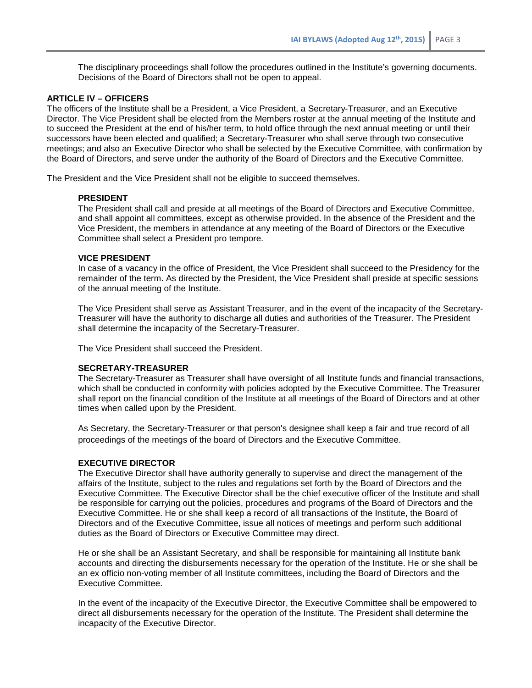The disciplinary proceedings shall follow the procedures outlined in the Institute's governing documents. Decisions of the Board of Directors shall not be open to appeal.

#### **ARTICLE IV – OFFICERS**

The officers of the Institute shall be a President, a Vice President, a Secretary-Treasurer, and an Executive Director. The Vice President shall be elected from the Members roster at the annual meeting of the Institute and to succeed the President at the end of his/her term, to hold office through the next annual meeting or until their successors have been elected and qualified; a Secretary-Treasurer who shall serve through two consecutive meetings; and also an Executive Director who shall be selected by the Executive Committee, with confirmation by the Board of Directors, and serve under the authority of the Board of Directors and the Executive Committee.

The President and the Vice President shall not be eligible to succeed themselves.

#### **PRESIDENT**

The President shall call and preside at all meetings of the Board of Directors and Executive Committee, and shall appoint all committees, except as otherwise provided. In the absence of the President and the Vice President, the members in attendance at any meeting of the Board of Directors or the Executive Committee shall select a President pro tempore.

#### **VICE PRESIDENT**

In case of a vacancy in the office of President, the Vice President shall succeed to the Presidency for the remainder of the term. As directed by the President, the Vice President shall preside at specific sessions of the annual meeting of the Institute.

The Vice President shall serve as Assistant Treasurer, and in the event of the incapacity of the Secretary-Treasurer will have the authority to discharge all duties and authorities of the Treasurer. The President shall determine the incapacity of the Secretary-Treasurer.

The Vice President shall succeed the President.

### **SECRETARY-TREASURER**

The Secretary-Treasurer as Treasurer shall have oversight of all Institute funds and financial transactions, which shall be conducted in conformity with policies adopted by the Executive Committee. The Treasurer shall report on the financial condition of the Institute at all meetings of the Board of Directors and at other times when called upon by the President.

As Secretary, the Secretary-Treasurer or that person's designee shall keep a fair and true record of all proceedings of the meetings of the board of Directors and the Executive Committee.

#### **EXECUTIVE DIRECTOR**

The Executive Director shall have authority generally to supervise and direct the management of the affairs of the Institute, subject to the rules and regulations set forth by the Board of Directors and the Executive Committee. The Executive Director shall be the chief executive officer of the Institute and shall be responsible for carrying out the policies, procedures and programs of the Board of Directors and the Executive Committee. He or she shall keep a record of all transactions of the Institute, the Board of Directors and of the Executive Committee, issue all notices of meetings and perform such additional duties as the Board of Directors or Executive Committee may direct.

He or she shall be an Assistant Secretary, and shall be responsible for maintaining all Institute bank accounts and directing the disbursements necessary for the operation of the Institute. He or she shall be an ex officio non-voting member of all Institute committees, including the Board of Directors and the Executive Committee.

In the event of the incapacity of the Executive Director, the Executive Committee shall be empowered to direct all disbursements necessary for the operation of the Institute. The President shall determine the incapacity of the Executive Director.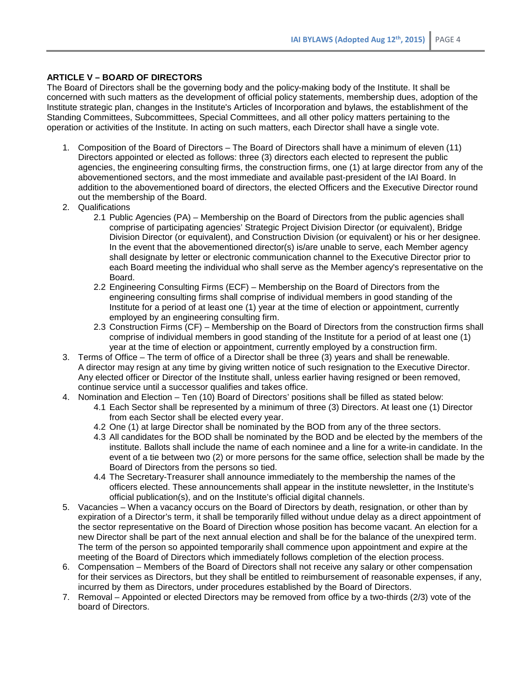### **ARTICLE V – BOARD OF DIRECTORS**

The Board of Directors shall be the governing body and the policy-making body of the Institute. It shall be concerned with such matters as the development of official policy statements, membership dues, adoption of the Institute strategic plan, changes in the Institute's Articles of Incorporation and bylaws, the establishment of the Standing Committees, Subcommittees, Special Committees, and all other policy matters pertaining to the operation or activities of the Institute. In acting on such matters, each Director shall have a single vote.

- 1. Composition of the Board of Directors The Board of Directors shall have a minimum of eleven (11) Directors appointed or elected as follows: three (3) directors each elected to represent the public agencies, the engineering consulting firms, the construction firms, one (1) at large director from any of the abovementioned sectors, and the most immediate and available past-president of the IAI Board. In addition to the abovementioned board of directors, the elected Officers and the Executive Director round out the membership of the Board.
- 2. Qualifications
	- 2.1 Public Agencies (PA) Membership on the Board of Directors from the public agencies shall comprise of participating agencies' Strategic Project Division Director (or equivalent), Bridge Division Director (or equivalent), and Construction Division (or equivalent) or his or her designee. In the event that the abovementioned director(s) is/are unable to serve, each Member agency shall designate by letter or electronic communication channel to the Executive Director prior to each Board meeting the individual who shall serve as the Member agency's representative on the Board.
	- 2.2 Engineering Consulting Firms (ECF) Membership on the Board of Directors from the engineering consulting firms shall comprise of individual members in good standing of the Institute for a period of at least one (1) year at the time of election or appointment, currently employed by an engineering consulting firm.
	- 2.3 Construction Firms (CF) Membership on the Board of Directors from the construction firms shall comprise of individual members in good standing of the Institute for a period of at least one (1) year at the time of election or appointment, currently employed by a construction firm.
- 3. Terms of Office The term of office of a Director shall be three (3) years and shall be renewable. A director may resign at any time by giving written notice of such resignation to the Executive Director. Any elected officer or Director of the Institute shall, unless earlier having resigned or been removed, continue service until a successor qualifies and takes office.
- 4. Nomination and Election Ten (10) Board of Directors' positions shall be filled as stated below:
	- 4.1 Each Sector shall be represented by a minimum of three (3) Directors. At least one (1) Director from each Sector shall be elected every year.
	- 4.2 One (1) at large Director shall be nominated by the BOD from any of the three sectors.
	- 4.3 All candidates for the BOD shall be nominated by the BOD and be elected by the members of the institute. Ballots shall include the name of each nominee and a line for a write-in candidate. In the event of a tie between two (2) or more persons for the same office, selection shall be made by the Board of Directors from the persons so tied.
	- 4.4 The Secretary-Treasurer shall announce immediately to the membership the names of the officers elected. These announcements shall appear in the institute newsletter, in the Institute's official publication(s), and on the Institute's official digital channels.
- 5. Vacancies When a vacancy occurs on the Board of Directors by death, resignation, or other than by expiration of a Director's term, it shall be temporarily filled without undue delay as a direct appointment of the sector representative on the Board of Direction whose position has become vacant. An election for a new Director shall be part of the next annual election and shall be for the balance of the unexpired term. The term of the person so appointed temporarily shall commence upon appointment and expire at the meeting of the Board of Directors which immediately follows completion of the election process.
- 6. Compensation Members of the Board of Directors shall not receive any salary or other compensation for their services as Directors, but they shall be entitled to reimbursement of reasonable expenses, if any, incurred by them as Directors, under procedures established by the Board of Directors.
- 7. Removal Appointed or elected Directors may be removed from office by a two-thirds (2/3) vote of the board of Directors.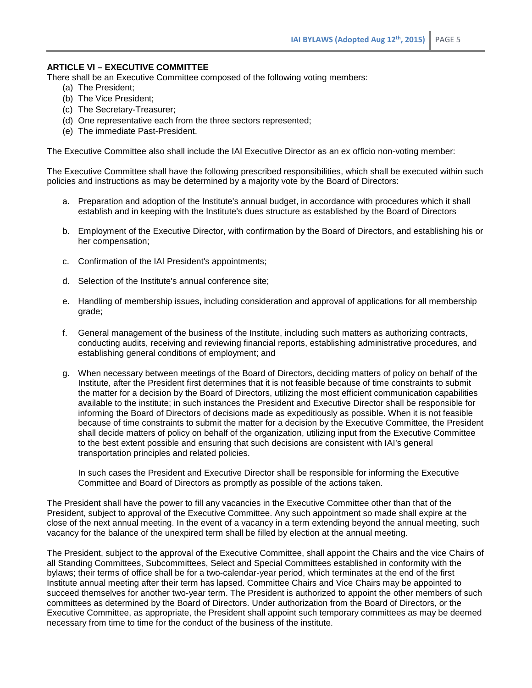### **ARTICLE VI – EXECUTIVE COMMITTEE**

There shall be an Executive Committee composed of the following voting members:

- (a) The President;
- (b) The Vice President;
- (c) The Secretary-Treasurer;
- (d) One representative each from the three sectors represented;
- (e) The immediate Past-President.

The Executive Committee also shall include the IAI Executive Director as an ex officio non-voting member:

The Executive Committee shall have the following prescribed responsibilities, which shall be executed within such policies and instructions as may be determined by a majority vote by the Board of Directors:

- a. Preparation and adoption of the Institute's annual budget, in accordance with procedures which it shall establish and in keeping with the Institute's dues structure as established by the Board of Directors
- b. Employment of the Executive Director, with confirmation by the Board of Directors, and establishing his or her compensation;
- c. Confirmation of the IAI President's appointments;
- d. Selection of the Institute's annual conference site;
- e. Handling of membership issues, including consideration and approval of applications for all membership grade;
- f. General management of the business of the Institute, including such matters as authorizing contracts, conducting audits, receiving and reviewing financial reports, establishing administrative procedures, and establishing general conditions of employment; and
- g. When necessary between meetings of the Board of Directors, deciding matters of policy on behalf of the Institute, after the President first determines that it is not feasible because of time constraints to submit the matter for a decision by the Board of Directors, utilizing the most efficient communication capabilities available to the institute; in such instances the President and Executive Director shall be responsible for informing the Board of Directors of decisions made as expeditiously as possible. When it is not feasible because of time constraints to submit the matter for a decision by the Executive Committee, the President shall decide matters of policy on behalf of the organization, utilizing input from the Executive Committee to the best extent possible and ensuring that such decisions are consistent with IAI's general transportation principles and related policies.

In such cases the President and Executive Director shall be responsible for informing the Executive Committee and Board of Directors as promptly as possible of the actions taken.

The President shall have the power to fill any vacancies in the Executive Committee other than that of the President, subject to approval of the Executive Committee. Any such appointment so made shall expire at the close of the next annual meeting. In the event of a vacancy in a term extending beyond the annual meeting, such vacancy for the balance of the unexpired term shall be filled by election at the annual meeting.

The President, subject to the approval of the Executive Committee, shall appoint the Chairs and the vice Chairs of all Standing Committees, Subcommittees, Select and Special Committees established in conformity with the bylaws; their terms of office shall be for a two-calendar-year period, which terminates at the end of the first Institute annual meeting after their term has lapsed. Committee Chairs and Vice Chairs may be appointed to succeed themselves for another two-year term. The President is authorized to appoint the other members of such committees as determined by the Board of Directors. Under authorization from the Board of Directors, or the Executive Committee, as appropriate, the President shall appoint such temporary committees as may be deemed necessary from time to time for the conduct of the business of the institute.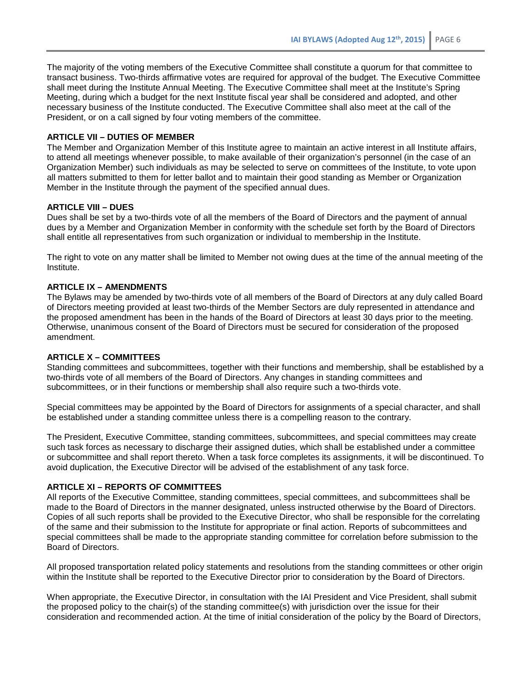The majority of the voting members of the Executive Committee shall constitute a quorum for that committee to transact business. Two-thirds affirmative votes are required for approval of the budget. The Executive Committee shall meet during the Institute Annual Meeting. The Executive Committee shall meet at the Institute's Spring Meeting, during which a budget for the next Institute fiscal year shall be considered and adopted, and other necessary business of the Institute conducted. The Executive Committee shall also meet at the call of the President, or on a call signed by four voting members of the committee.

#### **ARTICLE VII – DUTIES OF MEMBER**

The Member and Organization Member of this Institute agree to maintain an active interest in all Institute affairs, to attend all meetings whenever possible, to make available of their organization's personnel (in the case of an Organization Member) such individuals as may be selected to serve on committees of the Institute, to vote upon all matters submitted to them for letter ballot and to maintain their good standing as Member or Organization Member in the Institute through the payment of the specified annual dues.

# **ARTICLE VIII – DUES**

Dues shall be set by a two-thirds vote of all the members of the Board of Directors and the payment of annual dues by a Member and Organization Member in conformity with the schedule set forth by the Board of Directors shall entitle all representatives from such organization or individual to membership in the Institute.

The right to vote on any matter shall be limited to Member not owing dues at the time of the annual meeting of the Institute.

## **ARTICLE IX – AMENDMENTS**

The Bylaws may be amended by two-thirds vote of all members of the Board of Directors at any duly called Board of Directors meeting provided at least two-thirds of the Member Sectors are duly represented in attendance and the proposed amendment has been in the hands of the Board of Directors at least 30 days prior to the meeting. Otherwise, unanimous consent of the Board of Directors must be secured for consideration of the proposed amendment.

#### **ARTICLE X – COMMITTEES**

Standing committees and subcommittees, together with their functions and membership, shall be established by a two-thirds vote of all members of the Board of Directors. Any changes in standing committees and subcommittees, or in their functions or membership shall also require such a two-thirds vote.

Special committees may be appointed by the Board of Directors for assignments of a special character, and shall be established under a standing committee unless there is a compelling reason to the contrary.

The President, Executive Committee, standing committees, subcommittees, and special committees may create such task forces as necessary to discharge their assigned duties, which shall be established under a committee or subcommittee and shall report thereto. When a task force completes its assignments, it will be discontinued. To avoid duplication, the Executive Director will be advised of the establishment of any task force.

### **ARTICLE XI – REPORTS OF COMMITTEES**

All reports of the Executive Committee, standing committees, special committees, and subcommittees shall be made to the Board of Directors in the manner designated, unless instructed otherwise by the Board of Directors. Copies of all such reports shall be provided to the Executive Director, who shall be responsible for the correlating of the same and their submission to the Institute for appropriate or final action. Reports of subcommittees and special committees shall be made to the appropriate standing committee for correlation before submission to the Board of Directors.

All proposed transportation related policy statements and resolutions from the standing committees or other origin within the Institute shall be reported to the Executive Director prior to consideration by the Board of Directors.

When appropriate, the Executive Director, in consultation with the IAI President and Vice President, shall submit the proposed policy to the chair(s) of the standing committee(s) with jurisdiction over the issue for their consideration and recommended action. At the time of initial consideration of the policy by the Board of Directors,